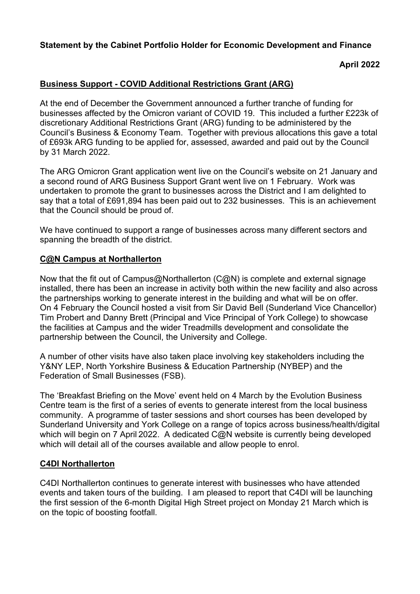# **Statement by the Cabinet Portfolio Holder for Economic Development and Finance**

## **April 2022**

## **Business Support - COVID Additional Restrictions Grant (ARG)**

At the end of December the Government announced a further tranche of funding for businesses affected by the Omicron variant of COVID 19. This included a further £223k of discretionary Additional Restrictions Grant (ARG) funding to be administered by the Council's Business & Economy Team. Together with previous allocations this gave a total of £693k ARG funding to be applied for, assessed, awarded and paid out by the Council by 31 March 2022.

The ARG Omicron Grant application went live on the Council's website on 21 January and a second round of ARG Business Support Grant went live on 1 February. Work was undertaken to promote the grant to businesses across the District and I am delighted to say that a total of £691,894 has been paid out to 232 businesses. This is an achievement that the Council should be proud of.

We have continued to support a range of businesses across many different sectors and spanning the breadth of the district.

#### **C@N Campus at Northallerton**

Now that the fit out of Campus@Northallerton (C@N) is complete and external signage installed, there has been an increase in activity both within the new facility and also across the partnerships working to generate interest in the building and what will be on offer. On 4 February the Council hosted a visit from Sir David Bell (Sunderland Vice Chancellor) Tim Probert and Danny Brett (Principal and Vice Principal of York College) to showcase the facilities at Campus and the wider Treadmills development and consolidate the partnership between the Council, the University and College.

A number of other visits have also taken place involving key stakeholders including the Y&NY LEP, North Yorkshire Business & Education Partnership (NYBEP) and the Federation of Small Businesses (FSB).

The 'Breakfast Briefing on the Move' event held on 4 March by the Evolution Business Centre team is the first of a series of events to generate interest from the local business community. A programme of taster sessions and short courses has been developed by Sunderland University and York College on a range of topics across business/health/digital which will begin on 7 April 2022. A dedicated C@N website is currently being developed which will detail all of the courses available and allow people to enrol.

### **C4DI Northallerton**

C4DI Northallerton continues to generate interest with businesses who have attended events and taken tours of the building. I am pleased to report that C4DI will be launching the first session of the 6-month Digital High Street project on Monday 21 March which is on the topic of boosting footfall.